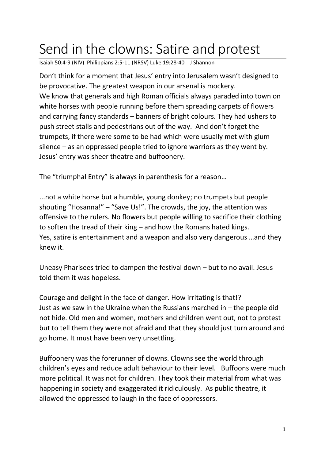## Send in the clowns: Satire and protest

Isaiah 50:4-9 (NIV) Philippians 2:5-11 (NRSV) Luke 19:28-40 J Shannon

Don't think for a moment that Jesus' entry into Jerusalem wasn't designed to be provocative. The greatest weapon in our arsenal is mockery. We know that generals and high Roman officials always paraded into town on white horses with people running before them spreading carpets of flowers and carrying fancy standards – banners of bright colours. They had ushers to push street stalls and pedestrians out of the way. And don't forget the trumpets, if there were some to be had which were usually met with glum silence – as an oppressed people tried to ignore warriors as they went by. Jesus' entry was sheer theatre and buffoonery.

The "triumphal Entry" is always in parenthesis for a reason…

...not a white horse but a humble, young donkey; no trumpets but people shouting "Hosanna!" – "Save Us!". The crowds, the joy, the attention was offensive to the rulers. No flowers but people willing to sacrifice their clothing to soften the tread of their king – and how the Romans hated kings. Yes, satire is entertainment and a weapon and also very dangerous …and they knew it.

Uneasy Pharisees tried to dampen the festival down – but to no avail. Jesus told them it was hopeless.

Courage and delight in the face of danger. How irritating is that!? Just as we saw in the Ukraine when the Russians marched in – the people did not hide. Old men and women, mothers and children went out, not to protest but to tell them they were not afraid and that they should just turn around and go home. It must have been very unsettling.

Buffoonery was the forerunner of clowns. Clowns see the world through children's eyes and reduce adult behaviour to their level. Buffoons were much more political. It was not for children. They took their material from what was happening in society and exaggerated it ridiculously. As public theatre, it allowed the oppressed to laugh in the face of oppressors.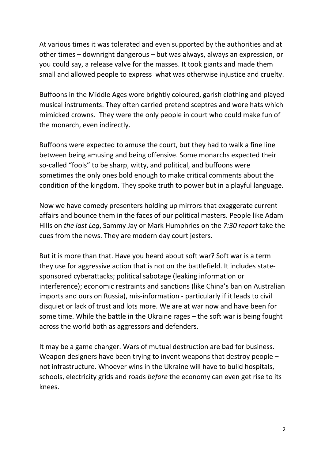At various times it was tolerated and even supported by the authorities and at other times – downright dangerous – but was always, always an expression, or you could say, a release valve for the masses. It took giants and made them small and allowed people to express what was otherwise injustice and cruelty.

Buffoons in the Middle Ages wore brightly coloured, garish clothing and played musical instruments. They often carried pretend sceptres and wore hats which mimicked crowns. They were the only people in court who could make fun of the monarch, even indirectly.

Buffoons were expected to amuse the court, but they had to walk a fine line between being amusing and being offensive. Some monarchs expected their so-called "fools" to be sharp, witty, and political, and buffoons were sometimes the only ones bold enough to make critical comments about the condition of the kingdom. They spoke truth to power but in a playful language.

Now we have comedy presenters holding up mirrors that exaggerate current affairs and bounce them in the faces of our political masters. People like Adam Hills on *the last Leg*, Sammy Jay or Mark Humphries on the *7:30 report* take the cues from the news. They are modern day court jesters.

But it is more than that. Have you heard about soft war? Soft war is a term they use for aggressive action that is not on the battlefield. It includes statesponsored cyberattacks; political sabotage (leaking information or interference); economic restraints and sanctions (like China's ban on Australian imports and ours on Russia), mis-information - particularly if it leads to civil disquiet or lack of trust and lots more. We are at war now and have been for some time. While the battle in the Ukraine rages – the soft war is being fought across the world both as aggressors and defenders.

It may be a game changer. Wars of mutual destruction are bad for business. Weapon designers have been trying to invent weapons that destroy people – not infrastructure. Whoever wins in the Ukraine will have to build hospitals, schools, electricity grids and roads *before* the economy can even get rise to its knees.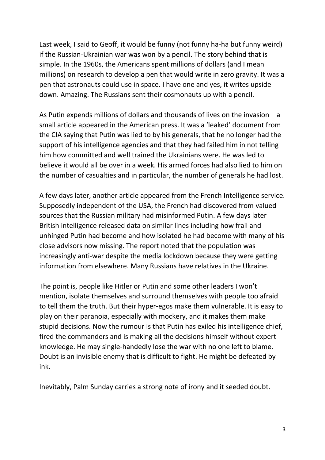Last week, I said to Geoff, it would be funny (not funny ha-ha but funny weird) if the Russian-Ukrainian war was won by a pencil. The story behind that is simple. In the 1960s, the Americans spent millions of dollars (and I mean millions) on research to develop a pen that would write in zero gravity. It was a pen that astronauts could use in space. I have one and yes, it writes upside down. Amazing. The Russians sent their cosmonauts up with a pencil.

As Putin expends millions of dollars and thousands of lives on the invasion – a small article appeared in the American press. It was a 'leaked' document from the CIA saying that Putin was lied to by his generals, that he no longer had the support of his intelligence agencies and that they had failed him in not telling him how committed and well trained the Ukrainians were. He was led to believe it would all be over in a week. His armed forces had also lied to him on the number of casualties and in particular, the number of generals he had lost.

A few days later, another article appeared from the French Intelligence service. Supposedly independent of the USA, the French had discovered from valued sources that the Russian military had misinformed Putin. A few days later British intelligence released data on similar lines including how frail and unhinged Putin had become and how isolated he had become with many of his close advisors now missing. The report noted that the population was increasingly anti-war despite the media lockdown because they were getting information from elsewhere. Many Russians have relatives in the Ukraine.

The point is, people like Hitler or Putin and some other leaders I won't mention, isolate themselves and surround themselves with people too afraid to tell them the truth. But their hyper-egos make them vulnerable. It is easy to play on their paranoia, especially with mockery, and it makes them make stupid decisions. Now the rumour is that Putin has exiled his intelligence chief, fired the commanders and is making all the decisions himself without expert knowledge. He may single-handedly lose the war with no one left to blame. Doubt is an invisible enemy that is difficult to fight. He might be defeated by ink.

Inevitably, Palm Sunday carries a strong note of irony and it seeded doubt.